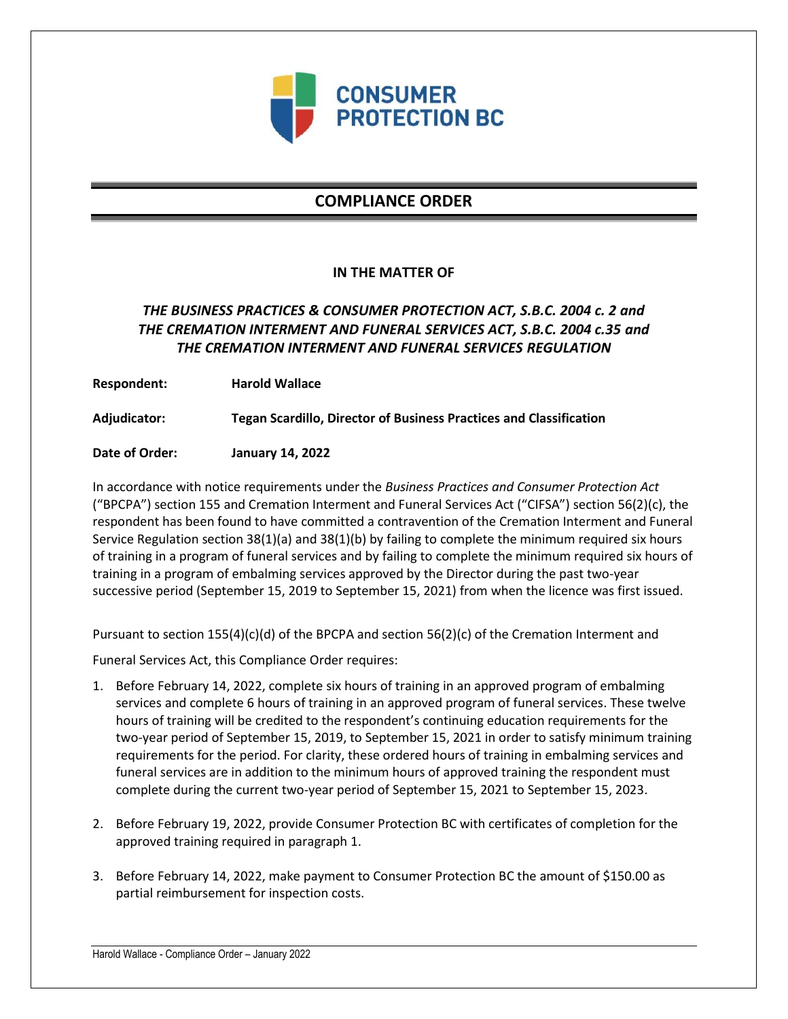

# **COMPLIANCE ORDER**

### **IN THE MATTER OF**

## *THE BUSINESS PRACTICES & CONSUMER PROTECTION ACT, S.B.C. 2004 c. 2 and THE CREMATION INTERMENT AND FUNERAL SERVICES ACT, S.B.C. 2004 c.35 and THE CREMATION INTERMENT AND FUNERAL SERVICES REGULATION*

**Respondent: Harold Wallace**

**Adjudicator: Tegan Scardillo, Director of Business Practices and Classification**

**Date of Order: January 14, 2022**

In accordance with notice requirements under the *Business Practices and Consumer Protection Act* ("BPCPA") section 155 and Cremation Interment and Funeral Services Act ("CIFSA") section 56(2)(c), the respondent has been found to have committed a contravention of the Cremation Interment and Funeral Service Regulation section 38(1)(a) and 38(1)(b) by failing to complete the minimum required six hours of training in a program of funeral services and by failing to complete the minimum required six hours of training in a program of embalming services approved by the Director during the past two-year successive period (September 15, 2019 to September 15, 2021) from when the licence was first issued.

Pursuant to section 155(4)(c)(d) of the BPCPA and section 56(2)(c) of the Cremation Interment and

Funeral Services Act, this Compliance Order requires:

- 1. Before February 14, 2022, complete six hours of training in an approved program of embalming services and complete 6 hours of training in an approved program of funeral services. These twelve hours of training will be credited to the respondent's continuing education requirements for the two-year period of September 15, 2019, to September 15, 2021 in order to satisfy minimum training requirements for the period. For clarity, these ordered hours of training in embalming services and funeral services are in addition to the minimum hours of approved training the respondent must complete during the current two-year period of September 15, 2021 to September 15, 2023.
- 2. Before February 19, 2022, provide Consumer Protection BC with certificates of completion for the approved training required in paragraph 1.
- 3. Before February 14, 2022, make payment to Consumer Protection BC the amount of \$150.00 as partial reimbursement for inspection costs.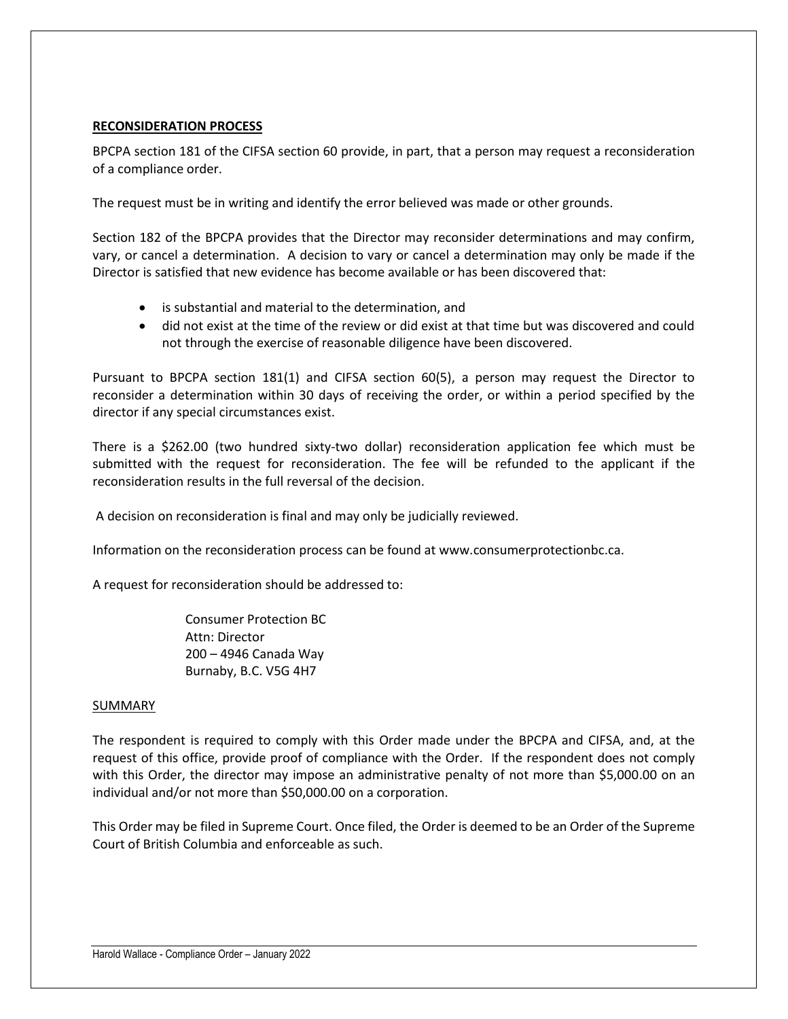### **RECONSIDERATION PROCESS**

BPCPA section 181 of the CIFSA section 60 provide, in part, that a person may request a reconsideration of a compliance order.

The request must be in writing and identify the error believed was made or other grounds.

Section 182 of the BPCPA provides that the Director may reconsider determinations and may confirm, vary, or cancel a determination. A decision to vary or cancel a determination may only be made if the Director is satisfied that new evidence has become available or has been discovered that:

- is substantial and material to the determination, and
- did not exist at the time of the review or did exist at that time but was discovered and could not through the exercise of reasonable diligence have been discovered.

Pursuant to BPCPA section 181(1) and CIFSA section 60(5), a person may request the Director to reconsider a determination within 30 days of receiving the order, or within a period specified by the director if any special circumstances exist.

There is a \$262.00 (two hundred sixty-two dollar) reconsideration application fee which must be submitted with the request for reconsideration. The fee will be refunded to the applicant if the reconsideration results in the full reversal of the decision.

A decision on reconsideration is final and may only be judicially reviewed.

Information on the reconsideration process can be found at www.consumerprotectionbc.ca.

A request for reconsideration should be addressed to:

Consumer Protection BC Attn: Director 200 – 4946 Canada Way Burnaby, B.C. V5G 4H7

#### SUMMARY

The respondent is required to comply with this Order made under the BPCPA and CIFSA, and, at the request of this office, provide proof of compliance with the Order. If the respondent does not comply with this Order, the director may impose an administrative penalty of not more than \$5,000.00 on an individual and/or not more than \$50,000.00 on a corporation.

This Order may be filed in Supreme Court. Once filed, the Order is deemed to be an Order of the Supreme Court of British Columbia and enforceable as such.